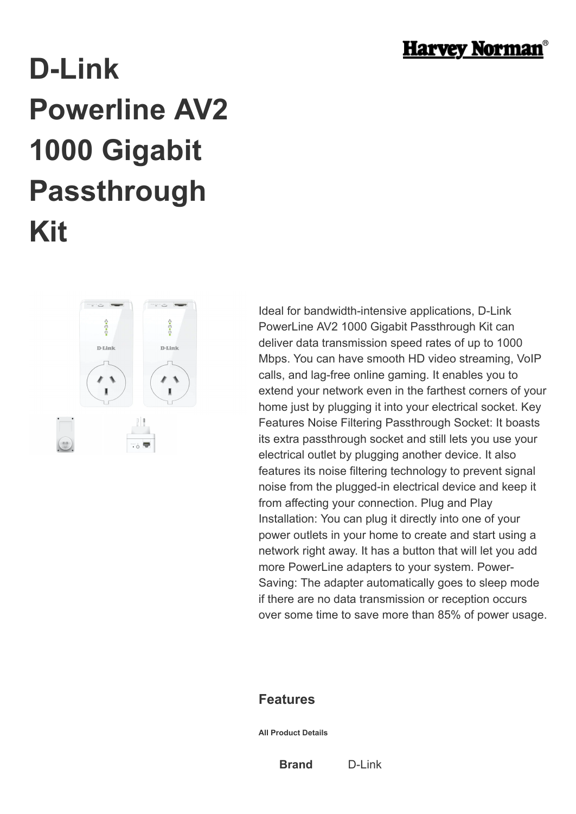

## **D-Link Powerline AV2 1000 Gigabit Passthrough Kit**



Ideal for bandwidth-intensive applications, D-Link PowerLine AV2 1000 Gigabit Passthrough Kit can deliver data transmission speed rates of up to 1000 Mbps. You can have smooth HD video streaming, VoIP calls, and lag-free online gaming. It enables you to extend your network even in the farthest corners of your home just by plugging it into your electrical socket. Key Features Noise Filtering Passthrough Socket: It boasts its extra passthrough socket and still lets you use your electrical outlet by plugging another device. It also features its noise filtering technology to prevent signal noise from the plugged-in electrical device and keep it from affecting your connection. Plug and Play Installation: You can plug it directly into one of your power outlets in your home to create and start using a network right away. It has a button that will let you add more PowerLine adapters to your system. Power-Saving: The adapter automatically goes to sleep mode if there are no data transmission or reception occurs over some time to save more than 85% of power usage.

## **Features**

**All Product Details**

**Brand** D-Link